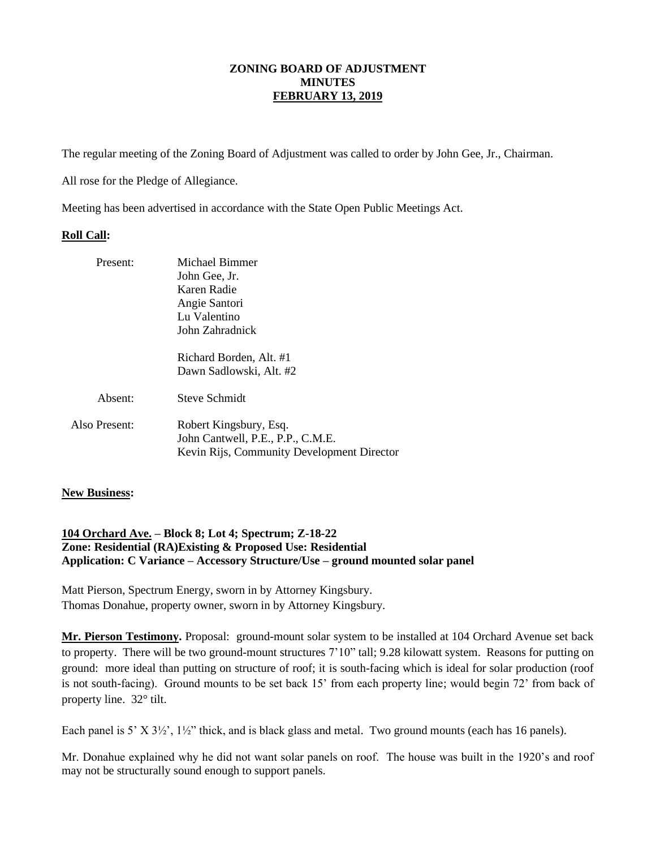## **ZONING BOARD OF ADJUSTMENT MINUTES FEBRUARY 13, 2019**

The regular meeting of the Zoning Board of Adjustment was called to order by John Gee, Jr., Chairman.

All rose for the Pledge of Allegiance.

Meeting has been advertised in accordance with the State Open Public Meetings Act.

## **Roll Call:**

| Michael Bimmer                                                                                            |
|-----------------------------------------------------------------------------------------------------------|
| John Gee, Jr.                                                                                             |
| Karen Radie                                                                                               |
| Angie Santori                                                                                             |
| Lu Valentino                                                                                              |
| John Zahradnick                                                                                           |
| Richard Borden, Alt. #1                                                                                   |
| Dawn Sadlowski, Alt. #2                                                                                   |
| Steve Schmidt                                                                                             |
| Robert Kingsbury, Esq.<br>John Cantwell, P.E., P.P., C.M.E.<br>Kevin Rijs, Community Development Director |
|                                                                                                           |

## **New Business:**

## **104 Orchard Ave. – Block 8; Lot 4; Spectrum; Z-18-22 Zone: Residential (RA)Existing & Proposed Use: Residential Application: C Variance – Accessory Structure/Use – ground mounted solar panel**

Matt Pierson, Spectrum Energy, sworn in by Attorney Kingsbury. Thomas Donahue, property owner, sworn in by Attorney Kingsbury.

**Mr. Pierson Testimony.** Proposal: ground-mount solar system to be installed at 104 Orchard Avenue set back to property. There will be two ground-mount structures 7'10" tall; 9.28 kilowatt system. Reasons for putting on ground: more ideal than putting on structure of roof; it is south-facing which is ideal for solar production (roof is not south-facing). Ground mounts to be set back 15' from each property line; would begin 72' from back of property line. 32° tilt.

Each panel is 5' X  $3\frac{1}{2}$ '',  $1\frac{1}{2}$ '' thick, and is black glass and metal. Two ground mounts (each has 16 panels).

Mr. Donahue explained why he did not want solar panels on roof. The house was built in the 1920's and roof may not be structurally sound enough to support panels.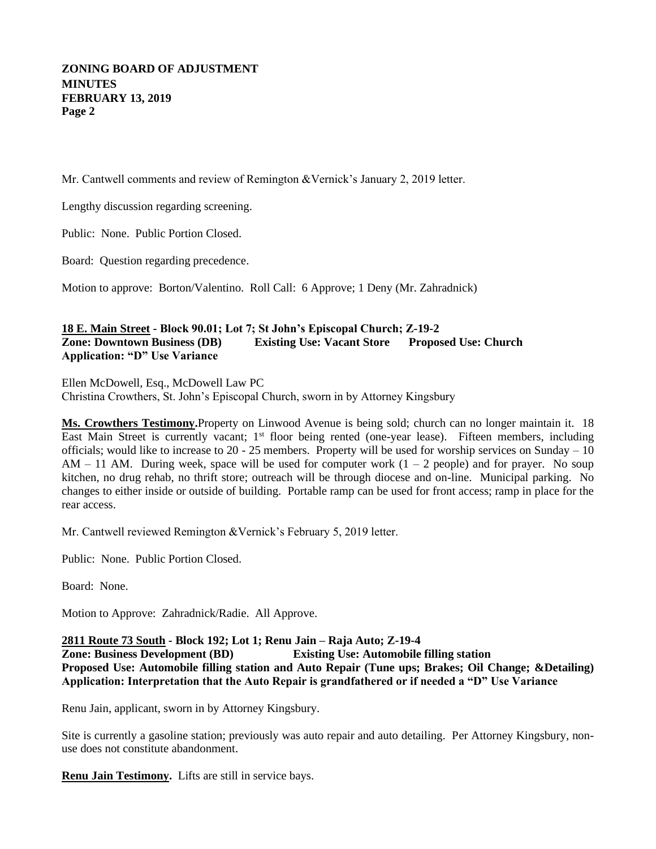# **ZONING BOARD OF ADJUSTMENT MINUTES FEBRUARY 13, 2019 Page 2**

Mr. Cantwell comments and review of Remington &Vernick's January 2, 2019 letter.

Lengthy discussion regarding screening.

Public: None. Public Portion Closed.

Board: Question regarding precedence.

Motion to approve: Borton/Valentino. Roll Call: 6 Approve; 1 Deny (Mr. Zahradnick)

## **18 E. Main Street - Block 90.01; Lot 7; St John's Episcopal Church; Z-19-2 Zone: Downtown Business (DB) Existing Use: Vacant Store Proposed Use: Church Application: "D" Use Variance**

Ellen McDowell, Esq., McDowell Law PC Christina Crowthers, St. John's Episcopal Church, sworn in by Attorney Kingsbury

**Ms. Crowthers Testimony.**Property on Linwood Avenue is being sold; church can no longer maintain it. 18 East Main Street is currently vacant; 1<sup>st</sup> floor being rented (one-year lease). Fifteen members, including officials; would like to increase to  $20 - 25$  members. Property will be used for worship services on Sunday  $-10$  $AM - 11$  AM. During week, space will be used for computer work  $(1 - 2$  people) and for prayer. No soup kitchen, no drug rehab, no thrift store; outreach will be through diocese and on-line. Municipal parking. No changes to either inside or outside of building. Portable ramp can be used for front access; ramp in place for the rear access.

Mr. Cantwell reviewed Remington &Vernick's February 5, 2019 letter.

Public: None. Public Portion Closed.

Board: None.

Motion to Approve: Zahradnick/Radie. All Approve.

**2811 Route 73 South - Block 192; Lot 1; Renu Jain – Raja Auto; Z-19-4**

**Zone: Business Development (BD) Existing Use: Automobile filling station Proposed Use: Automobile filling station and Auto Repair (Tune ups; Brakes; Oil Change; &Detailing) Application: Interpretation that the Auto Repair is grandfathered or if needed a "D" Use Variance**

Renu Jain, applicant, sworn in by Attorney Kingsbury.

Site is currently a gasoline station; previously was auto repair and auto detailing. Per Attorney Kingsbury, nonuse does not constitute abandonment.

**Renu Jain Testimony.** Lifts are still in service bays.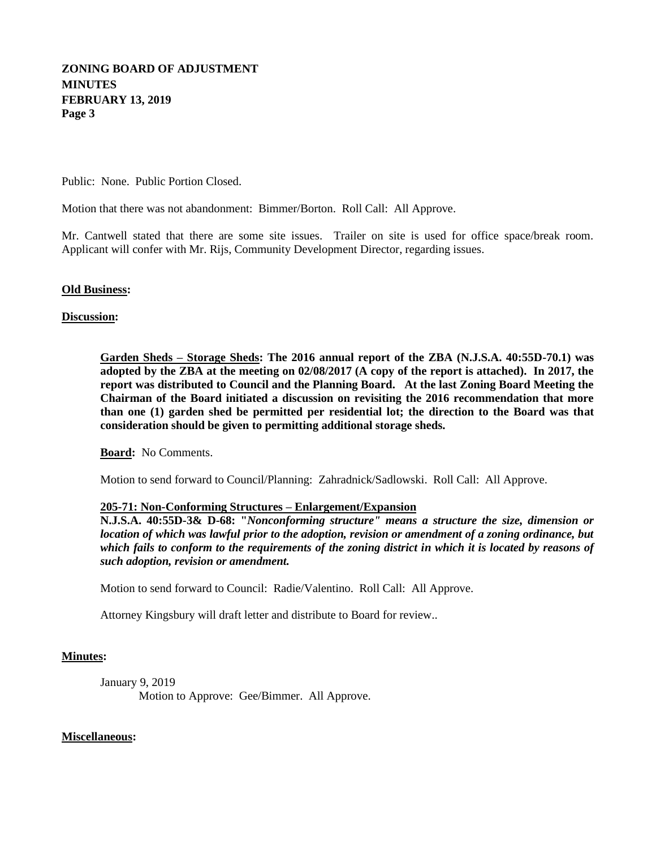# **ZONING BOARD OF ADJUSTMENT MINUTES FEBRUARY 13, 2019 Page 3**

Public: None. Public Portion Closed.

Motion that there was not abandonment: Bimmer/Borton. Roll Call: All Approve.

Mr. Cantwell stated that there are some site issues. Trailer on site is used for office space/break room. Applicant will confer with Mr. Rijs, Community Development Director, regarding issues.

**Old Business:**

### **Discussion:**

**Garden Sheds – Storage Sheds: The 2016 annual report of the ZBA (N.J.S.A. 40:55D-70.1) was adopted by the ZBA at the meeting on 02/08/2017 (A copy of the report is attached). In 2017, the report was distributed to Council and the Planning Board. At the last Zoning Board Meeting the Chairman of the Board initiated a discussion on revisiting the 2016 recommendation that more than one (1) garden shed be permitted per residential lot; the direction to the Board was that consideration should be given to permitting additional storage sheds.**

**Board:** No Comments.

Motion to send forward to Council/Planning: Zahradnick/Sadlowski. Roll Call: All Approve.

## **205-71: Non-Conforming Structures – Enlargement/Expansion**

**N.J.S.A. 40:55D-3& D-68: "***Nonconforming structure" means a structure the size, dimension or location of which was lawful prior to the adoption, revision or amendment of a zoning ordinance, but which fails to conform to the requirements of the zoning district in which it is located by reasons of such adoption, revision or amendment.*

Motion to send forward to Council: Radie/Valentino. Roll Call: All Approve.

Attorney Kingsbury will draft letter and distribute to Board for review..

#### **Minutes:**

January 9, 2019 Motion to Approve: Gee/Bimmer. All Approve.

**Miscellaneous:**